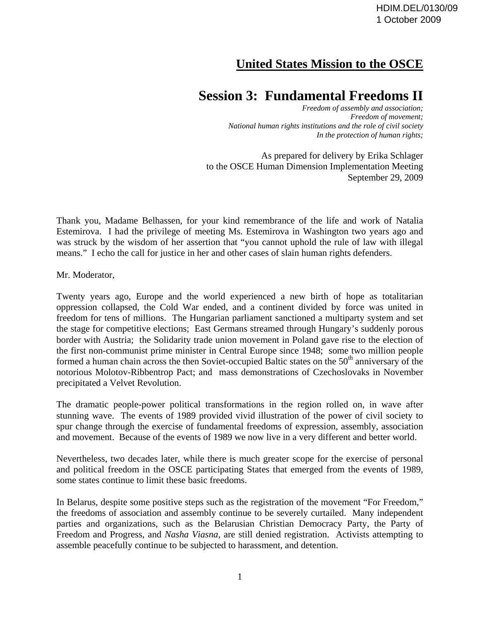## **United States Mission to the OSCE**

## **Session 3: Fundamental Freedoms II**

*Freedom of assembly and association; Freedom of movement; National human rights institutions and the role of civil society In the protection of human rights;* 

As prepared for delivery by Erika Schlager to the OSCE Human Dimension Implementation Meeting September 29, 2009

Thank you, Madame Belhassen, for your kind remembrance of the life and work of Natalia Estemirova. I had the privilege of meeting Ms. Estemirova in Washington two years ago and was struck by the wisdom of her assertion that "you cannot uphold the rule of law with illegal means." I echo the call for justice in her and other cases of slain human rights defenders.

Mr. Moderator,

Twenty years ago, Europe and the world experienced a new birth of hope as totalitarian oppression collapsed, the Cold War ended, and a continent divided by force was united in freedom for tens of millions. The Hungarian parliament sanctioned a multiparty system and set the stage for competitive elections; East Germans streamed through Hungary's suddenly porous border with Austria; the Solidarity trade union movement in Poland gave rise to the election of the first non-communist prime minister in Central Europe since 1948; some two million people formed a human chain across the then Soviet-occupied Baltic states on the  $50<sup>th</sup>$  anniversary of the notorious Molotov-Ribbentrop Pact; and mass demonstrations of Czechoslovaks in November precipitated a Velvet Revolution.

The dramatic people-power political transformations in the region rolled on, in wave after stunning wave. The events of 1989 provided vivid illustration of the power of civil society to spur change through the exercise of fundamental freedoms of expression, assembly, association and movement. Because of the events of 1989 we now live in a very different and better world.

Nevertheless, two decades later, while there is much greater scope for the exercise of personal and political freedom in the OSCE participating States that emerged from the events of 1989, some states continue to limit these basic freedoms.

In Belarus, despite some positive steps such as the registration of the movement "For Freedom," the freedoms of association and assembly continue to be severely curtailed. Many independent parties and organizations, such as the Belarusian Christian Democracy Party, the Party of Freedom and Progress, and *Nasha Viasna*, are still denied registration. Activists attempting to assemble peacefully continue to be subjected to harassment, and detention.